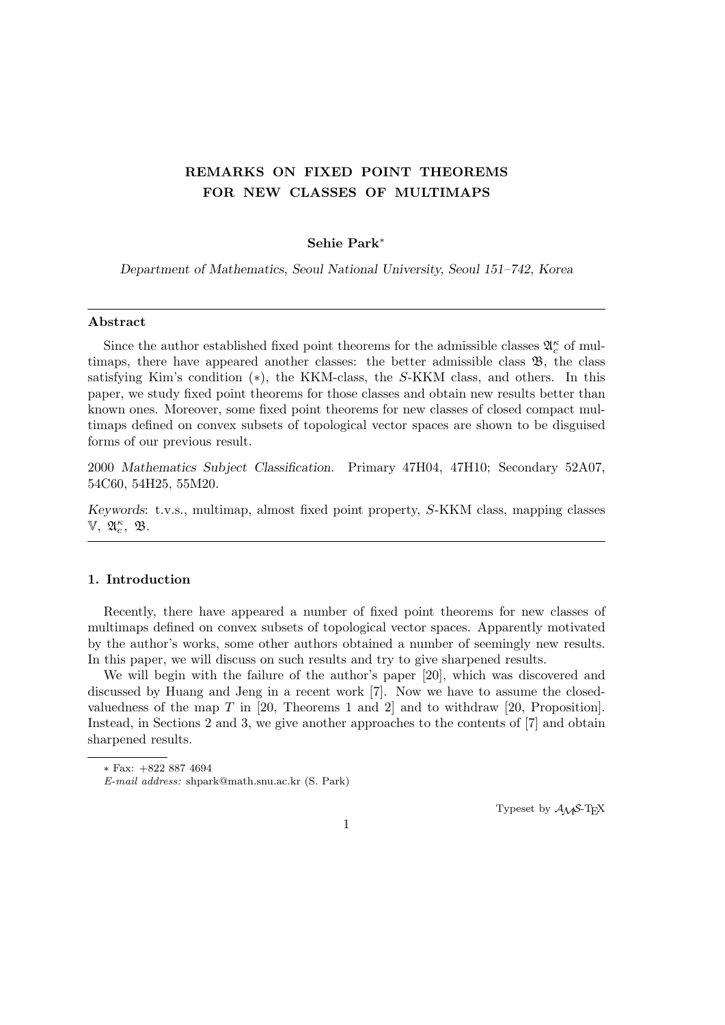# **REMARKS ON FIXED POINT THEOREMS FOR NEW CLASSES OF MULTIMAPS**

## **Sehie Park***<sup>∗</sup>*

*Department of Mathematics, Seoul National University, Seoul 151–742, Korea*

## **Abstract**

Since the author established fixed point theorems for the admissible classes  $\mathfrak{A}_{c}^{\kappa}$  of multimaps, there have appeared another classes: the better admissible class  $\mathfrak{B}$ , the class satisfying Kim's condition (*∗*), the KKM-class, the *S*-KKM class, and others. In this paper, we study fixed point theorems for those classes and obtain new results better than known ones. Moreover, some fixed point theorems for new classes of closed compact multimaps defined on convex subsets of topological vector spaces are shown to be disguised forms of our previous result.

2000 *Mathematics Subject Classification*. Primary 47H04, 47H10; Secondary 52A07, 54C60, 54H25, 55M20.

*Keywords*: t.v.s., multimap, almost fixed point property, *S*-KKM class, mapping classes  $\mathbb{V}, \ \mathfrak{A}_{c}^{\kappa}, \ \mathfrak{B}.$ 

## **1. Introduction**

Recently, there have appeared a number of fixed point theorems for new classes of multimaps defined on convex subsets of topological vector spaces. Apparently motivated by the author's works, some other authors obtained a number of seemingly new results. In this paper, we will discuss on such results and try to give sharpened results.

We will begin with the failure of the author's paper [20], which was discovered and discussed by Huang and Jeng in a recent work [7]. Now we have to assume the closedvaluedness of the map *T* in [20, Theorems 1 and 2] and to withdraw [20, Proposition]. Instead, in Sections 2 and 3, we give another approaches to the contents of [7] and obtain sharpened results.

Typeset by *AMS*-TEX

*<sup>∗</sup>* Fax: +822 887 4694

*E-mail address:* shpark@math.snu.ac.kr (S. Park)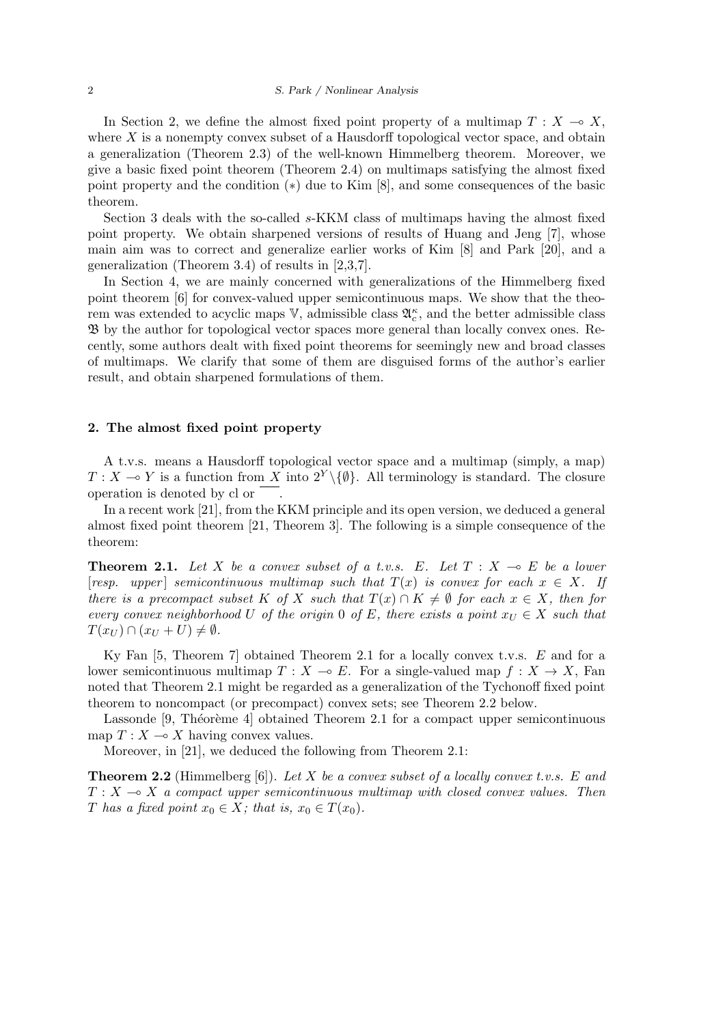In Section 2, we define the almost fixed point property of a multimap  $T : X \to X$ , where *X* is a nonempty convex subset of a Hausdorff topological vector space, and obtain a generalization (Theorem 2.3) of the well-known Himmelberg theorem. Moreover, we give a basic fixed point theorem (Theorem 2.4) on multimaps satisfying the almost fixed point property and the condition (*∗*) due to Kim [8], and some consequences of the basic theorem.

Section 3 deals with the so-called *s*-KKM class of multimaps having the almost fixed point property. We obtain sharpened versions of results of Huang and Jeng [7], whose main aim was to correct and generalize earlier works of Kim [8] and Park [20], and a generalization (Theorem 3.4) of results in [2,3,7].

In Section 4, we are mainly concerned with generalizations of the Himmelberg fixed point theorem [6] for convex-valued upper semicontinuous maps. We show that the theorem was extended to acyclic maps  $\mathbb{V}$ , admissible class  $\mathfrak{A}^{\kappa}_{c}$ , and the better admissible class B by the author for topological vector spaces more general than locally convex ones. Recently, some authors dealt with fixed point theorems for seemingly new and broad classes of multimaps. We clarify that some of them are disguised forms of the author's earlier result, and obtain sharpened formulations of them.

#### **2. The almost fixed point property**

A t.v.s. means a Hausdorff topological vector space and a multimap (simply, a map) *T* : *X* → *Y* is a function from *X* into  $2<sup>Y</sup>\{\emptyset\}$ . All terminology is standard. The closure operation is denoted by cl or .

In a recent work [21], from the KKM principle and its open version, we deduced a general almost fixed point theorem [21, Theorem 3]. The following is a simple consequence of the theorem:

**Theorem 2.1.** Let X be a convex subset of a t.v.s. E. Let  $T : X \multimap E$  be a lower  $[resp. upper]$  *semicontinuous multimap such that*  $T(x)$  *is convex for each*  $x \in X$ *. If there is a precompact subset K of X such that*  $T(x) \cap K \neq \emptyset$  *for each*  $x \in X$ *, then for every convex neighborhood U of the origin* 0 *of E, there exists a point*  $x_U \in X$  *such that*  $T(x_U) \cap (x_U + U) \neq \emptyset$ .

Ky Fan [5, Theorem 7] obtained Theorem 2.1 for a locally convex t.v.s. *E* and for a lower semicontinuous multimap  $T : X \to E$ . For a single-valued map  $f : X \to X$ , Fan noted that Theorem 2.1 might be regarded as a generalization of the Tychonoff fixed point theorem to noncompact (or precompact) convex sets; see Theorem 2.2 below.

Lassonde  $[9,$  Théorème 4 $]$  obtained Theorem 2.1 for a compact upper semicontinuous map  $T: X \longrightarrow X$  having convex values.

Moreover, in [21], we deduced the following from Theorem 2.1:

**Theorem 2.2** (Himmelberg [6]). *Let X be a convex subset of a locally convex t.v.s. E and*  $T: X \longrightarrow X$  *a compact upper semicontinuous multimap with closed convex values. Then T* has a fixed point  $x_0 \in X$ ; that is,  $x_0 \in T(x_0)$ .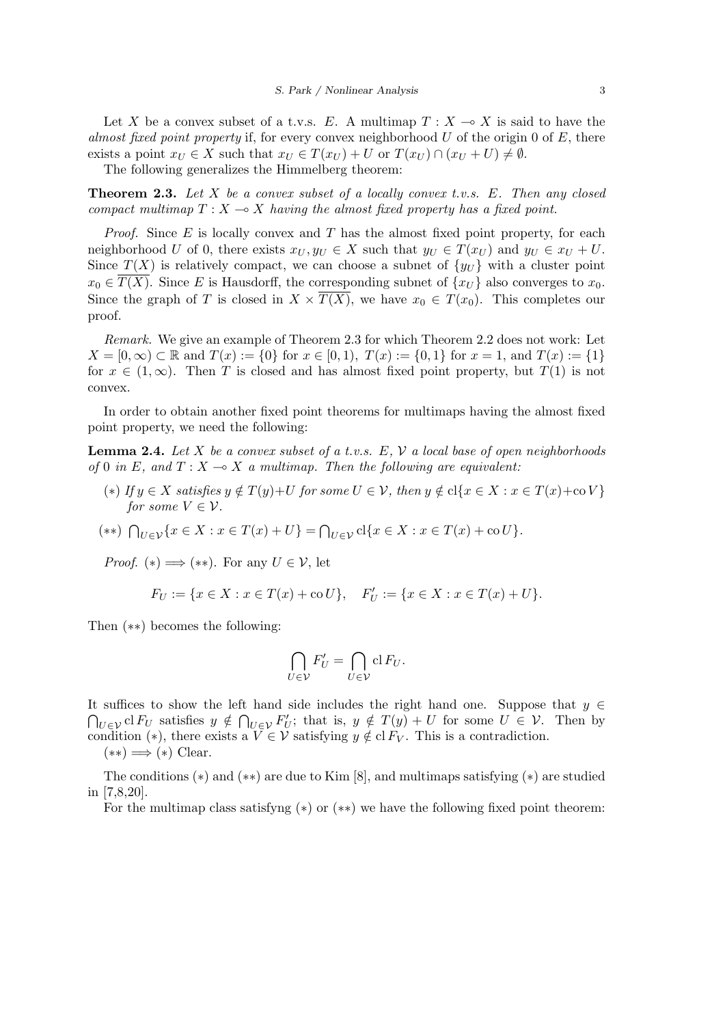Let X be a convex subset of a t.v.s. E. A multimap  $T : X \to X$  is said to have the *almost fixed point property* if, for every convex neighborhood *U* of the origin 0 of *E*, there exists a point  $x_U \in X$  such that  $x_U \in T(x_U) + U$  or  $T(x_U) \cap (x_U + U) \neq \emptyset$ .

The following generalizes the Himmelberg theorem:

**Theorem 2.3.** *Let X be a convex subset of a locally convex t.v.s. E. Then any closed compact multimap*  $T: X \to X$  *having the almost fixed property has a fixed point.* 

*Proof.* Since *E* is locally convex and *T* has the almost fixed point property, for each neighborhood *U* of 0, there exists  $x_U, y_U \in X$  such that  $y_U \in T(x_U)$  and  $y_U \in x_U + U$ . Since  $T(X)$  is relatively compact, we can choose a subnet of  $\{y_U\}$  with a cluster point  $x_0 \in \overline{T(X)}$ . Since *E* is Hausdorff, the corresponding subnet of  $\{x_U\}$  also converges to  $x_0$ . Since the graph of *T* is closed in  $X \times \overline{T(X)}$ , we have  $x_0 \in T(x_0)$ . This completes our proof.

*Remark.* We give an example of Theorem 2.3 for which Theorem 2.2 does not work: Let  $X = [0, \infty) \subset \mathbb{R}$  and  $T(x) := \{0\}$  for  $x \in [0, 1), T(x) := \{0, 1\}$  for  $x = 1$ , and  $T(x) := \{1\}$ for  $x \in (1,\infty)$ . Then *T* is closed and has almost fixed point property, but  $T(1)$  is not convex.

In order to obtain another fixed point theorems for multimaps having the almost fixed point property, we need the following:

**Lemma 2.4.** *Let X be a convex subset of a t.v.s. E, V a local base of open neighborhoods of* 0 *in E*, and  $T: X \to X$  *a multimap. Then the following are equivalent:* 

(\*) If  $y \in X$  satisfies  $y \notin T(y)+U$  for some  $U \in V$ , then  $y \notin cl\{x \in X : x \in T(x)+\infty V\}$ *for some*  $V \in \mathcal{V}$ *.* 

(\*\*) 
$$
\bigcap_{U \in \mathcal{V}} \{x \in X : x \in T(x) + U\} = \bigcap_{U \in \mathcal{V}} cl\{x \in X : x \in T(x) + \text{co } U\}.
$$

*Proof.* (\*)  $\implies$  (\*\*). For any  $U \in \mathcal{V}$ , let

$$
F_U := \{ x \in X : x \in T(x) + \text{co } U \}, \quad F'_U := \{ x \in X : x \in T(x) + U \}.
$$

Then (*∗∗*) becomes the following:

$$
\bigcap_{U\in\mathcal{V}}F'_U=\bigcap_{U\in\mathcal{V}}\operatorname{cl} F_U.
$$

It suffices to show the left hand side includes the right hand one. Suppose that *y ∈*  $\bigcap_{U \in \mathcal{V}} \text{cl } F_U$  satisfies  $y \notin \bigcap_{U \in \mathcal{V}} F'_U$ ; that is,  $y \notin T(y) + U$  for some  $U \in \mathcal{V}$ . Then by condition (\*), there exists a  $V \in \mathcal{V}$  satisfying  $y \notin \mathrm{cl}\, F_V$ . This is a contradiction.

(*∗∗*) =*⇒* (*∗*) Clear.

The conditions (*∗*) and (*∗∗*) are due to Kim [8], and multimaps satisfying (*∗*) are studied in [7,8,20].

For the multimap class satisfyng (*∗*) or (*∗∗*) we have the following fixed point theorem: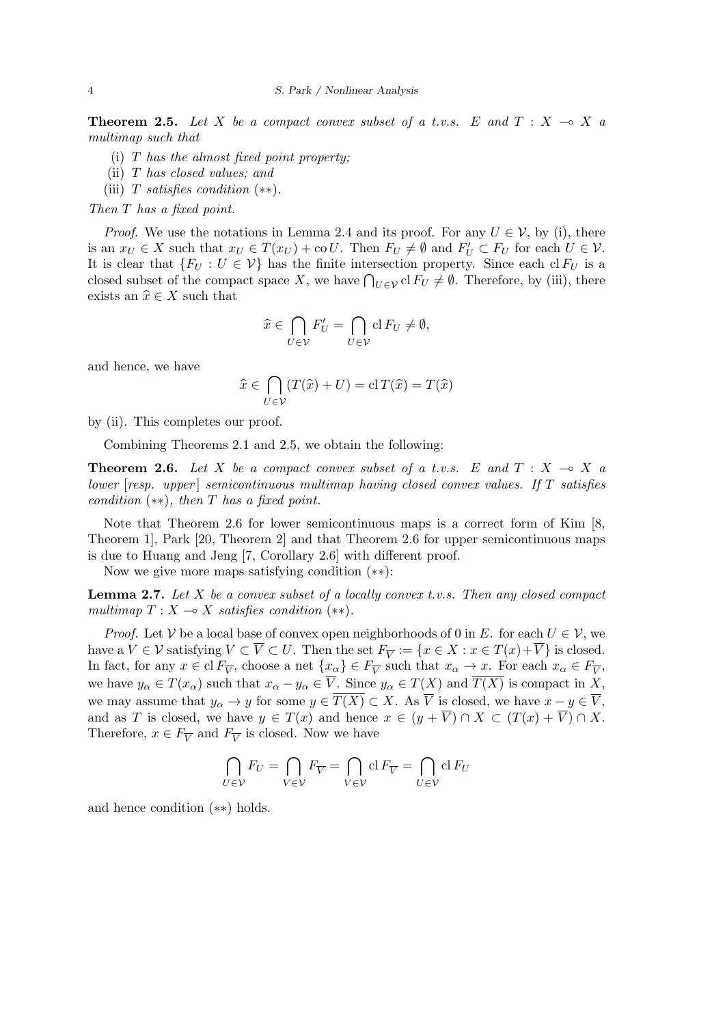**Theorem 2.5.** Let X be a compact convex subset of a t.v.s. E and  $T : X \rightarrow X$  a *multimap such that*

- (i) *T has the almost fixed point property;*
- (ii) *T has closed values; and*
- (iii) *T satisfies condition* (*∗∗*)*.*

*Then T has a fixed point.*

*Proof.* We use the notations in Lemma 2.4 and its proof. For any  $U \in V$ , by (i), there is an  $x_U \in X$  such that  $x_U \in T(x_U) + \text{co } U$ . Then  $F_U \neq \emptyset$  and  $F'_U \subset F_U$  for each  $U \in \mathcal{V}$ . It is clear that  ${F_U : U \in \mathcal{V}}$  has the finite intersection property. Since each cl  $F_U$  is a closed subset of the compact space *X*, we have  $\bigcap_{U \in \mathcal{V}} cl F_U \neq \emptyset$ . Therefore, by (iii), there exists an  $\hat{x} \in X$  such that

$$
\widehat{x} \in \bigcap_{U \in \mathcal{V}} F'_U = \bigcap_{U \in \mathcal{V}} \mathrm{cl} \, F_U \neq \emptyset,
$$

and hence, we have

$$
\widehat{x} \in \bigcap_{U \in \mathcal{V}} (T(\widehat{x}) + U) = \mathrm{cl}\, T(\widehat{x}) = T(\widehat{x})
$$

by (ii). This completes our proof.

Combining Theorems 2.1 and 2.5, we obtain the following:

**Theorem 2.6.** Let X be a compact convex subset of a t.v.s. E and  $T : X \rightarrow X$  a *lower* [*resp. upper* ] *semicontinuous multimap having closed convex values. If T satisfies condition* (*∗∗*)*, then T has a fixed point.*

Note that Theorem 2.6 for lower semicontinuous maps is a correct form of Kim [8, Theorem 1], Park [20, Theorem 2] and that Theorem 2.6 for upper semicontinuous maps is due to Huang and Jeng [7, Corollary 2.6] with different proof.

Now we give more maps satisfying condition (*∗∗*):

**Lemma 2.7.** *Let X be a convex subset of a locally convex t.v.s. Then any closed compact multimap*  $T: X \rightarrow X$  *satisfies condition* (\*\*).

*Proof.* Let *V* be a local base of convex open neighborhoods of 0 in *E*. for each  $U \in V$ , we have a  $V \in \mathcal{V}$  satisfying  $V \subset V \subset U$ . Then the set  $F_{\overline{V}} := \{x \in X : x \in T(x) + V\}$  is closed. In fact, for any  $x \in \text{cl } F_{\overline{V}}$ , choose a net  $\{x_{\alpha}\}\in F_{\overline{V}}$  such that  $x_{\alpha} \to x$ . For each  $x_{\alpha} \in F_{\overline{V}}$ , we have  $y_{\alpha} \in T(x_{\alpha})$  such that  $x_{\alpha} - y_{\alpha} \in \overline{V}$ . Since  $y_{\alpha} \in T(X)$  and  $\overline{T(X)}$  is compact in X, we may assume that  $y_{\alpha} \to y$  for some  $y \in \overline{T(X)} \subset X$ . As  $\overline{V}$  is closed, we have  $x - y \in \overline{V}$ , and as *T* is closed, we have  $y \in T(x)$  and hence  $x \in (y + \overline{V}) \cap X \subset (T(x) + \overline{V}) \cap X$ . Therefore,  $x \in F_{\overline{V}}$  and  $F_{\overline{V}}$  is closed. Now we have

$$
\bigcap_{U \in \mathcal{V}} F_U = \bigcap_{V \in \mathcal{V}} F_{\overline{V}} = \bigcap_{V \in \mathcal{V}} \mathrm{cl} \, F_{\overline{V}} = \bigcap_{U \in \mathcal{V}} \mathrm{cl} \, F_U
$$

and hence condition (*∗∗*) holds.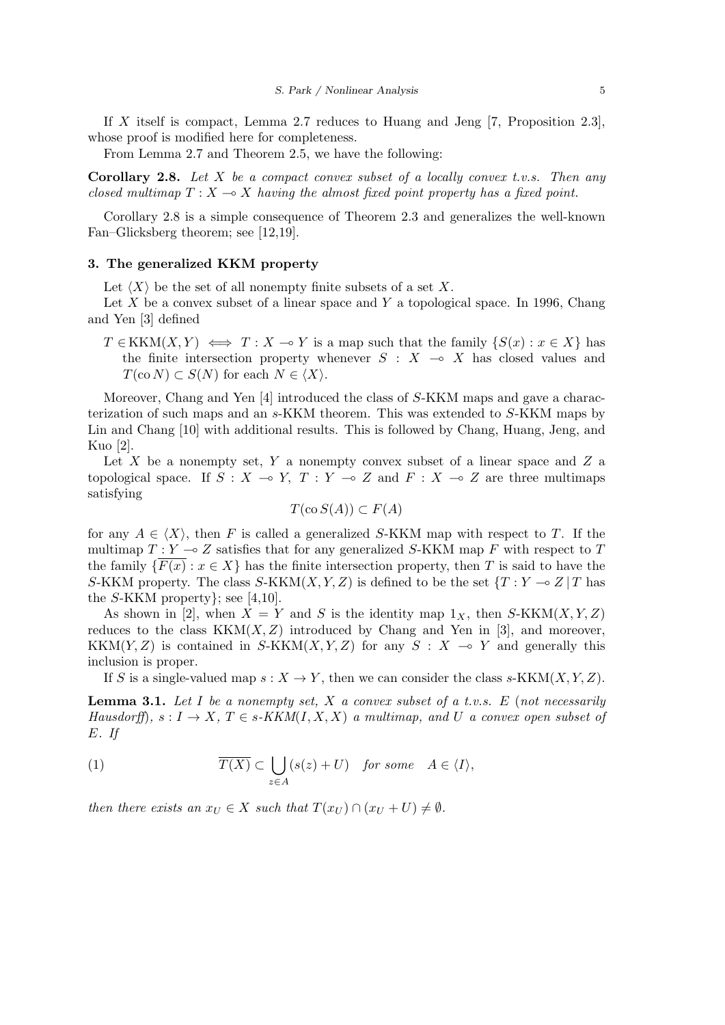If *X* itself is compact, Lemma 2.7 reduces to Huang and Jeng [7, Proposition 2.3], whose proof is modified here for completeness.

From Lemma 2.7 and Theorem 2.5, we have the following:

**Corollary 2.8.** *Let X be a compact convex subset of a locally convex t.v.s. Then any closed multimap*  $T : X \to X$  *having the almost fixed point property has a fixed point.* 

Corollary 2.8 is a simple consequence of Theorem 2.3 and generalizes the well-known Fan–Glicksberg theorem; see [12,19].

## **3. The generalized KKM property**

Let  $\langle X \rangle$  be the set of all nonempty finite subsets of a set X.

Let *X* be a convex subset of a linear space and *Y* a topological space. In 1996, Chang and Yen [3] defined

 $T \in KKM(X, Y) \iff T : X \to Y$  is a map such that the family  $\{S(x) : x \in X\}$  has the finite intersection property whenever  $S : X \rightarrow X$  has closed values and  $T(\text{co } N) \subset S(N)$  for each  $N \in \langle X \rangle$ .

Moreover, Chang and Yen [4] introduced the class of *S*-KKM maps and gave a characterization of such maps and an *s*-KKM theorem. This was extended to *S*-KKM maps by Lin and Chang [10] with additional results. This is followed by Chang, Huang, Jeng, and Kuo [2].

Let *X* be a nonempty set, *Y* a nonempty convex subset of a linear space and *Z* a topological space. If  $S : X \to Y$ ,  $T : Y \to Z$  and  $F : X \to Z$  are three multimaps satisfying

$$
T(\cos S(A)) \subset F(A)
$$

for any  $A \in \langle X \rangle$ , then F is called a generalized S-KKM map with respect to T. If the multimap  $T: Y \to Z$  satisfies that for any generalized *S*-KKM map F with respect to T the family  $\{F(x): x \in X\}$  has the finite intersection property, then *T* is said to have the *S*-KKM property. The class *S*-KKM $(X, Y, Z)$  is defined to be the set  $\{T : Y \to Z | T \text{ has } X\}$ the *S*-KKM property*}*; see [4,10].

As shown in [2], when  $X = Y$  and *S* is the identity map  $1_X$ , then *S*-KKM(*X,Y, Z*) reduces to the class  $KKM(X, Z)$  introduced by Chang and Yen in [3], and moreover, KKM $(Y, Z)$  is contained in *S*-KKM $(X, Y, Z)$  for any  $S: X \rightarrow Y$  and generally this inclusion is proper.

If *S* is a single-valued map  $s: X \to Y$ , then we can consider the class *s*-KKM(*X,Y, Z*).

**Lemma 3.1.** *Let I be a nonempty set, X a convex subset of a t.v.s. E* (*not necessarily Hausdorff*)*,*  $s: I \to X$ *,*  $T \in s$ *-KKM*(*I, X, X*) *a multimap, and U a convex open subset of E. If*

(1) 
$$
\overline{T(X)} \subset \bigcup_{z \in A} (s(z) + U) \quad \text{for some} \quad A \in \langle I \rangle,
$$

*then there exists an*  $x_U \in X$  *such that*  $T(x_U) \cap (x_U + U) \neq \emptyset$ *.*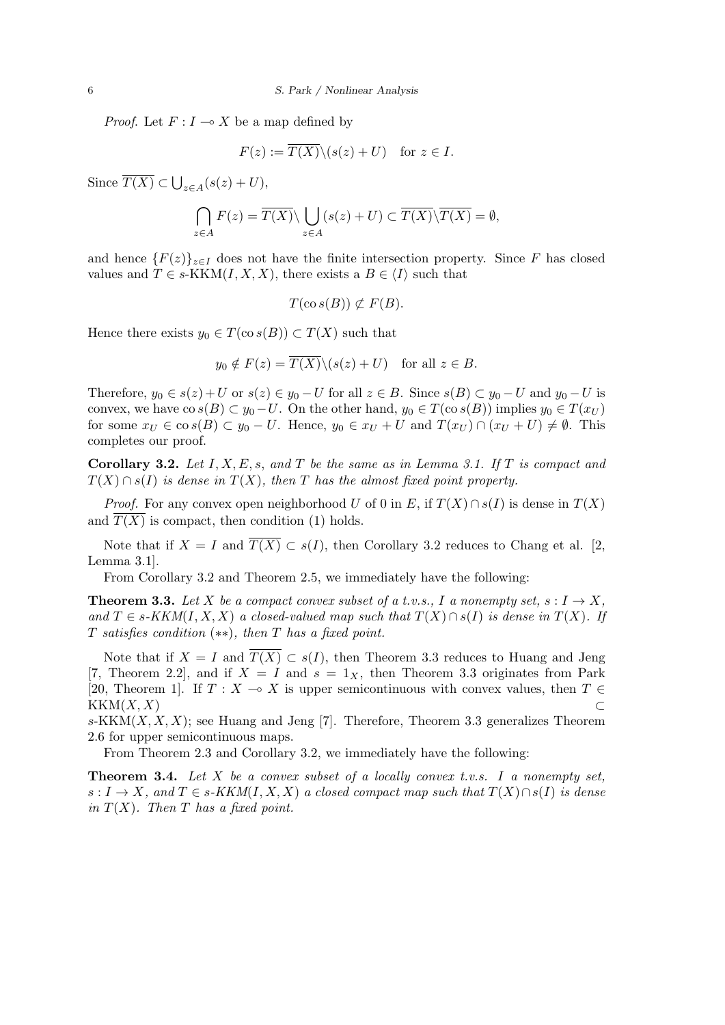*Proof.* Let  $F: I \to X$  be a map defined by

$$
F(z) := \overline{T(X)} \setminus (s(z) + U) \quad \text{for } z \in I.
$$

Since  $\overline{T(X)} \subset \bigcup_{z \in A} (s(z) + U),$ 

$$
\bigcap_{z \in A} F(z) = \overline{T(X)} \setminus \bigcup_{z \in A} (s(z) + U) \subset \overline{T(X)} \setminus \overline{T(X)} = \emptyset,
$$

and hence  ${F(z)}_{z\in I}$  does not have the finite intersection property. Since *F* has closed values and  $T \in s$ -KKM $(I, X, X)$ , there exists a  $B \in \langle I \rangle$  such that

$$
T(\cos(B)) \not\subset F(B).
$$

Hence there exists  $y_0 \in T(\cos(B)) \subset T(X)$  such that

$$
y_0 \notin F(z) = \overline{T(X)} \setminus (s(z) + U)
$$
 for all  $z \in B$ .

Therefore,  $y_0 \in s(z) + U$  or  $s(z) \in y_0 - U$  for all  $z \in B$ . Since  $s(B) \subset y_0 - U$  and  $y_0 - U$  is convex, we have  $\cos(B) \subset y_0 - U$ . On the other hand,  $y_0 \in T(\cos(B))$  implies  $y_0 \in T(x_U)$ for some  $x_U \in \cos(B) \subset y_0 - U$ . Hence,  $y_0 \in x_U + U$  and  $T(x_U) \cap (x_U + U) \neq \emptyset$ . This completes our proof.

**Corollary 3.2.** *Let I, X, E, s, and T be the same as in Lemma 3.1. If T is compact and*  $T(X) \cap s(I)$  *is dense in*  $T(X)$ *, then T has the almost fixed point property.* 

*Proof.* For any convex open neighborhood *U* of 0 in *E*, if  $T(X) \cap s(I)$  is dense in  $T(X)$ and  $\overline{T(X)}$  is compact, then condition (1) holds.

Note that if  $X = I$  and  $\overline{T(X)} \subset s(I)$ , then Corollary 3.2 reduces to Chang et al. [2, Lemma 3.1].

From Corollary 3.2 and Theorem 2.5, we immediately have the following:

**Theorem 3.3.** Let *X* be a compact convex subset of a t.v.s., *I* a nonempty set,  $s: I \to X$ , *and*  $T \text{ ∈ } s$ -KKM( $I, X, X$ ) *a closed-valued map such that*  $T(X) ∩ s(I)$  *is dense in*  $T(X)$ *. If T satisfies condition* (*∗∗*)*, then T has a fixed point.*

Note that if  $X = I$  and  $\overline{T(X)} \subset s(I)$ , then Theorem 3.3 reduces to Huang and Jeng [7, Theorem 2.2], and if  $X = I$  and  $s = 1<sub>X</sub>$ , then Theorem 3.3 originates from Park [20, Theorem 1]. If  $T : X \to X$  is upper semicontinuous with convex values, then  $T \in$  $KKM(X, X)$  ⊂

 $s-KKM(X, X, X);$  see Huang and Jeng [7]. Therefore, Theorem 3.3 generalizes Theorem 2.6 for upper semicontinuous maps.

From Theorem 2.3 and Corollary 3.2, we immediately have the following:

**Theorem 3.4.** *Let X be a convex subset of a locally convex t.v.s. I a nonempty set,*  $s: I \to X$ *, and*  $T \in s$ *-KKM*(*I, X, X*) *a closed compact map such that*  $T(X) \cap s(I)$  *is dense in*  $T(X)$ *. Then*  $T$  *has a fixed point.*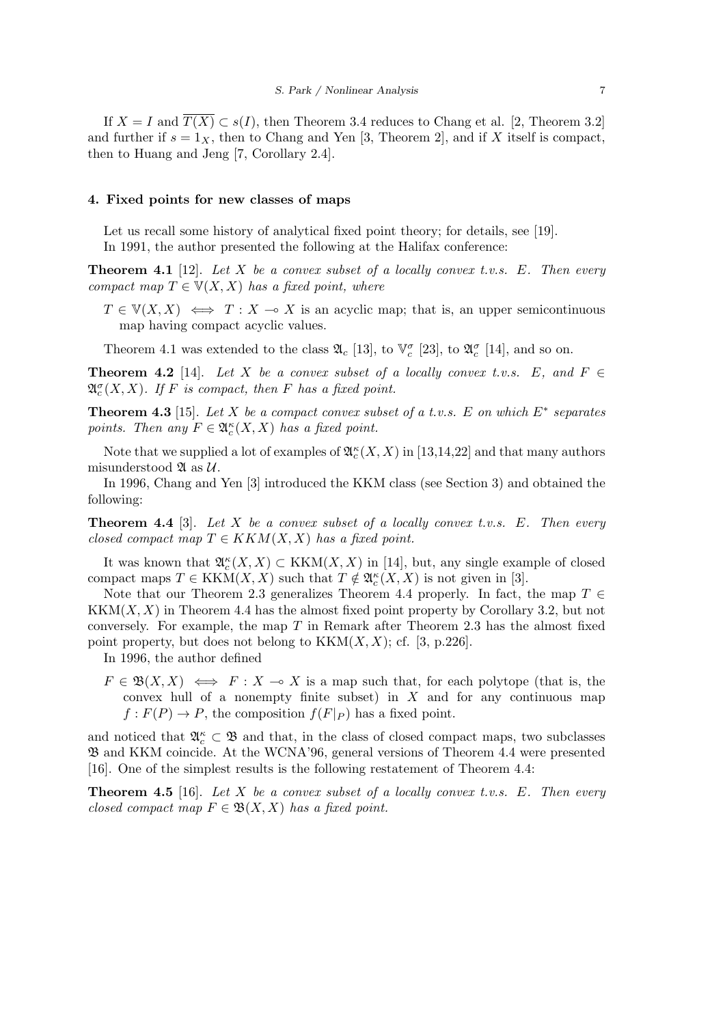If  $X = I$  and  $\overline{T(X)} \subset s(I)$ , then Theorem 3.4 reduces to Chang et al. [2, Theorem 3.2] and further if  $s = 1_X$ , then to Chang and Yen [3, Theorem 2], and if *X* itself is compact, then to Huang and Jeng [7, Corollary 2.4].

#### **4. Fixed points for new classes of maps**

Let us recall some history of analytical fixed point theory; for details, see [19]. In 1991, the author presented the following at the Halifax conference:

**Theorem 4.1** [12]. *Let X be a convex subset of a locally convex t.v.s. E. Then every compact map*  $T \in V(X, X)$  *has a fixed point, where* 

 $T \in V(X, X) \iff T : X \to X$  is an acyclic map; that is, an upper semicontinuous map having compact acyclic values.

Theorem 4.1 was extended to the class  $\mathfrak{A}_c$  [13], to  $\mathbb{V}_c^{\sigma}$  [23], to  $\mathfrak{A}_c^{\sigma}$  [14], and so on.

**Theorem 4.2** [14]. Let *X* be a convex subset of a locally convex t.v.s. E, and  $F \in$  $\mathfrak{A}_{c}^{\sigma}(X,X)$ *.* If F is compact, then F has a fixed point.

**Theorem 4.3** [15]. *Let X be a compact convex subset of a t.v.s. E on which E<sup>∗</sup> separates points. Then any*  $F \in \mathfrak{A}_{c}^{\kappa}(X, X)$  *has a fixed point.* 

Note that we supplied a lot of examples of  $\mathfrak{A}_{c}^{\kappa}(X,X)$  in [13,14,22] and that many authors misunderstood  $\mathfrak{A}$  as  $\mathcal{U}$ .

In 1996, Chang and Yen [3] introduced the KKM class (see Section 3) and obtained the following:

**Theorem 4.4** [3]. *Let X be a convex subset of a locally convex t.v.s. E. Then every closed compact map*  $T \in KKM(X,X)$  *has a fixed point.* 

It was known that  $\mathfrak{A}_{c}^{\kappa}(X,X) \subset \text{KKM}(X,X)$  in [14], but, any single example of closed compact maps  $T \in \text{KKM}(X, X)$  such that  $T \notin \mathfrak{A}_{c}^{\kappa}(X, X)$  is not given in [3].

Note that our Theorem 2.3 generalizes Theorem 4.4 properly. In fact, the map  $T \in$  $\operatorname{KKM}(X,X)$  in Theorem 4.4 has the almost fixed point property by Corollary 3.2, but not conversely. For example, the map *T* in Remark after Theorem 2.3 has the almost fixed point property, but does not belong to  $KKM(X, X)$ ; cf. [3, p.226].

In 1996, the author defined

 $F \in \mathfrak{B}(X,X) \iff F : X \to X$  is a map such that, for each polytope (that is, the convex hull of a nonempty finite subset) in *X* and for any continuous map  $f: F(P) \to P$ , the composition  $f(F|_P)$  has a fixed point.

and noticed that  $\mathfrak{A}^{\kappa}_c \subset \mathfrak{B}$  and that, in the class of closed compact maps, two subclasses B and KKM coincide. At the WCNA'96, general versions of Theorem 4.4 were presented [16]. One of the simplest results is the following restatement of Theorem 4.4:

**Theorem 4.5** [16]. *Let X be a convex subset of a locally convex t.v.s. E. Then every closed compact map*  $F \in \mathfrak{B}(X,X)$  *has a fixed point.*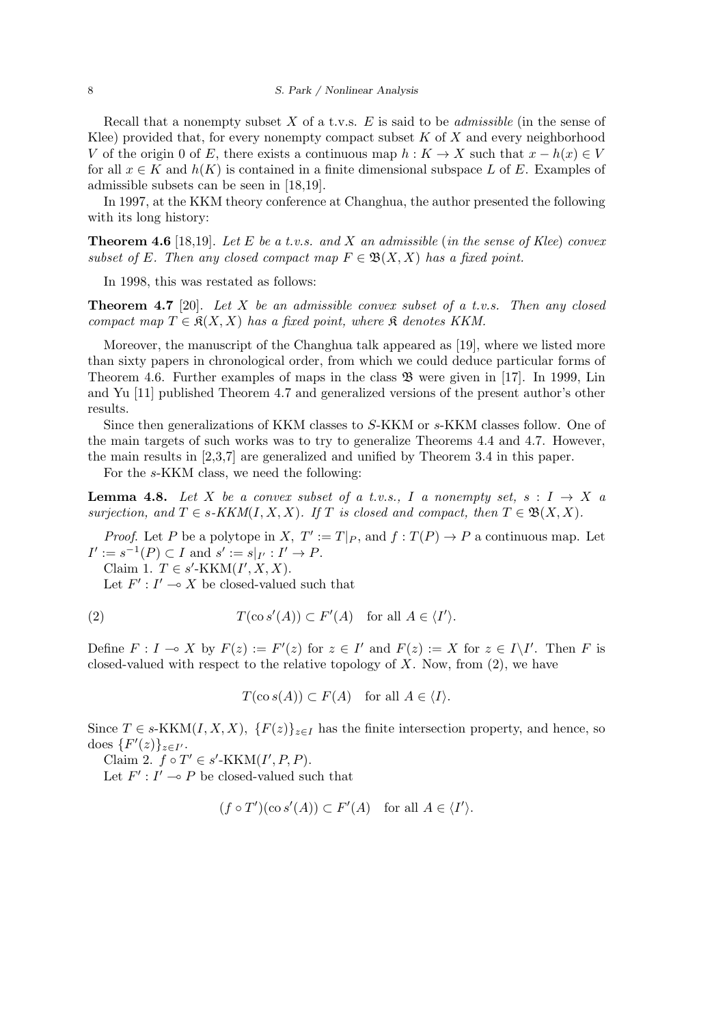#### 8 *S. Park / Nonlinear Analysis*

Recall that a nonempty subset *X* of a t.v.s. *E* is said to be *admissible* (in the sense of Klee) provided that, for every nonempty compact subset *K* of *X* and every neighborhood *V* of the origin 0 of *E*, there exists a continuous map  $h: K \to X$  such that  $x - h(x) \in V$ for all  $x \in K$  and  $h(K)$  is contained in a finite dimensional subspace L of E. Examples of admissible subsets can be seen in [18,19].

In 1997, at the KKM theory conference at Changhua, the author presented the following with its long history:

**Theorem 4.6** [18,19]. *Let E be a t.v.s. and X an admissible* (*in the sense of Klee*) *convex subset of E. Then any closed compact map*  $F \in \mathfrak{B}(X,X)$  *has a fixed point.* 

In 1998, this was restated as follows:

**Theorem 4.7** [20]. *Let X be an admissible convex subset of a t.v.s. Then any closed compact map*  $T \in \mathfrak{K}(X, X)$  *has a fixed point, where*  $\mathfrak{K}$  *denotes KKM.* 

Moreover, the manuscript of the Changhua talk appeared as [19], where we listed more than sixty papers in chronological order, from which we could deduce particular forms of Theorem 4.6. Further examples of maps in the class  $\mathfrak{B}$  were given in [17]. In 1999, Lin and Yu [11] published Theorem 4.7 and generalized versions of the present author's other results.

Since then generalizations of KKM classes to *S*-KKM or *s*-KKM classes follow. One of the main targets of such works was to try to generalize Theorems 4.4 and 4.7. However, the main results in [2,3,7] are generalized and unified by Theorem 3.4 in this paper.

For the *s*-KKM class, we need the following:

**Lemma 4.8.** Let X be a convex subset of a t.v.s., I a nonempty set,  $s: I \rightarrow X$  a *surjection, and*  $T \in s$ *-KKM*(*I, X, X*)*. If T is closed and compact, then*  $T \in \mathfrak{B}(X, X)$ *.* 

*Proof.* Let *P* be a polytope in *X*,  $T' := T|_P$ , and  $f : T(P) \to P$  a continuous map. Let  $I' := s^{-1}(P) \subset I$  and  $s' := s|_{I'} : I' \to P$ .

Claim 1.  $T \in s'$ -KKM $(I', X, X)$ .

Let  $F'$  :  $I' \to X$  be closed-valued such that

(2) 
$$
T(\cos'(A)) \subset F'(A) \text{ for all } A \in \langle I' \rangle.
$$

Define  $F: I \to X$  by  $F(z) := F'(z)$  for  $z \in I'$  and  $F(z) := X$  for  $z \in I \setminus I'$ . Then F is closed-valued with respect to the relative topology of *X*. Now, from (2), we have

$$
T(\cos(A)) \subset F(A) \quad \text{for all } A \in \langle I \rangle.
$$

Since  $T \in s$ -KKM $(I, X, X)$ ,  $\{F(z)\}_{z \in I}$  has the finite intersection property, and hence, so  $\left\{F'(z)\right\}_{z\in I'}$ .

Claim 2.  $f \circ T' \in s'$ -KKM $(I', P, P)$ .

Let  $F'$  :  $I' \to P$  be closed-valued such that

$$
(f \circ T')(\cos'(A)) \subset F'(A)
$$
 for all  $A \in \langle I' \rangle$ .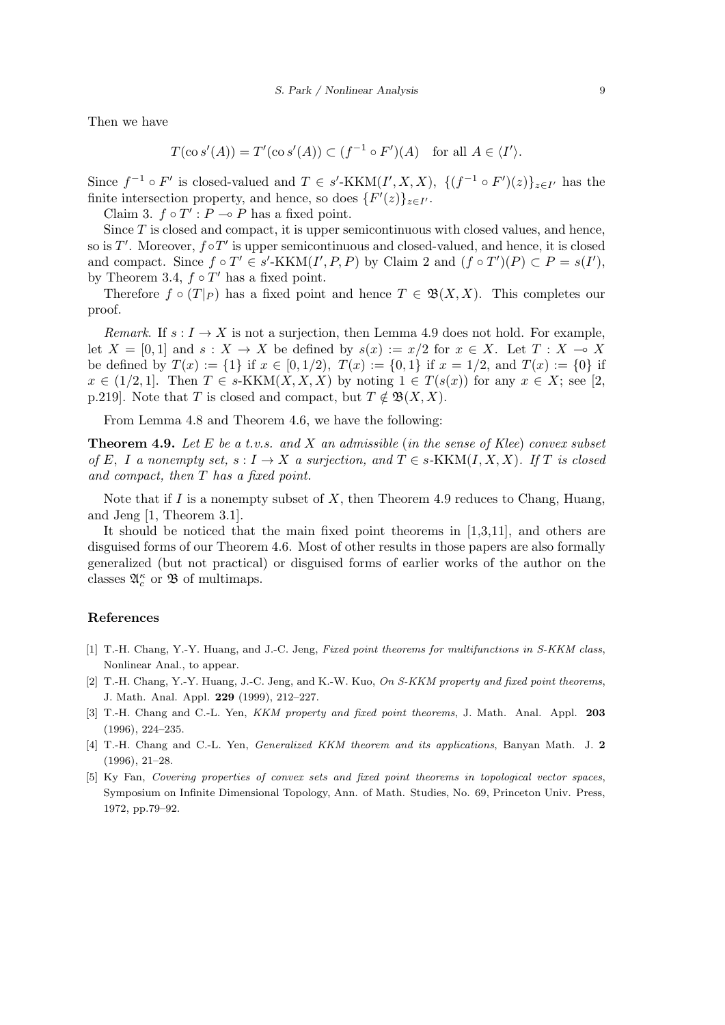Then we have

$$
T(\cos'(A)) = T'(\cos'(A)) \subset (f^{-1} \circ F')(A) \text{ for all } A \in \langle I' \rangle.
$$

Since  $f^{-1} \circ F'$  is closed-valued and  $T \in s'$ -KKM $(I', X, X)$ ,  $\{(f^{-1} \circ F')(z)\}_{z \in I'}$  has the finite intersection property, and hence, so does  $\{F'(z)\}_{z \in I'}$ .

Claim 3.  $f \circ T' : P \to P$  has a fixed point.

Since T is closed and compact, it is upper semicontinuous with closed values, and hence, so is *T ′* . Moreover, *f ◦T ′* is upper semicontinuous and closed-valued, and hence, it is closed and compact. Since  $f \circ T' \in s'$ -KKM $(I', P, P)$  by Claim 2 and  $(f \circ T')(P) \subset P = s(I')$ , by Theorem 3.4,  $f \circ T'$  has a fixed point.

Therefore  $f \circ (T|_P)$  has a fixed point and hence  $T \in \mathfrak{B}(X,X)$ . This completes our proof.

*Remark*. If  $s: I \to X$  is not a surjection, then Lemma 4.9 does not hold. For example, let  $X = [0,1]$  and  $s: X \to X$  be defined by  $s(x) := x/2$  for  $x \in X$ . Let  $T: X \to X$ be defined by  $T(x) := \{1\}$  if  $x \in [0, 1/2)$ ,  $T(x) := \{0, 1\}$  if  $x = 1/2$ , and  $T(x) := \{0\}$  if  $x \in (1/2, 1]$ . Then  $T \in s\text{-KKM}(X, X, X)$  by noting  $1 \in T(s(x))$  for any  $x \in X$ ; see [2, p.219]. Note that *T* is closed and compact, but  $T \notin \mathfrak{B}(X,X)$ .

From Lemma 4.8 and Theorem 4.6, we have the following:

**Theorem 4.9.** *Let E be a t.v.s. and X an admissible* (*in the sense of Klee*) *convex subset of*  $E$ *,*  $I$  *a* nonempty set,  $s: I \to X$  *a* surjection, and  $T \in s$ -KKM $(I, X, X)$ *.* If  $T$  is closed *and compact, then T has a fixed point.*

Note that if *I* is a nonempty subset of *X*, then Theorem 4.9 reduces to Chang, Huang, and Jeng [1, Theorem 3.1].

It should be noticed that the main fixed point theorems in [1,3,11], and others are disguised forms of our Theorem 4.6. Most of other results in those papers are also formally generalized (but not practical) or disguised forms of earlier works of the author on the classes  $\mathfrak{A}^{\kappa}_{c}$  or  $\mathfrak{B}$  of multimaps.

## **References**

- [1] T.-H. Chang, Y.-Y. Huang, and J.-C. Jeng, *Fixed point theorems for multifunctions in S-KKM class*, Nonlinear Anal., to appear.
- [2] T.-H. Chang, Y.-Y. Huang, J.-C. Jeng, and K.-W. Kuo, *On S-KKM property and fixed point theorems*, J. Math. Anal. Appl. **229** (1999), 212–227.
- [3] T.-H. Chang and C.-L. Yen, *KKM property and fixed point theorems*, J. Math. Anal. Appl. **203** (1996), 224–235.
- [4] T.-H. Chang and C.-L. Yen, *Generalized KKM theorem and its applications*, Banyan Math. J. **2** (1996), 21–28.
- [5] Ky Fan, *Covering properties of convex sets and fixed point theorems in topological vector spaces*, Symposium on Infinite Dimensional Topology, Ann. of Math. Studies, No. 69, Princeton Univ. Press, 1972, pp.79–92.